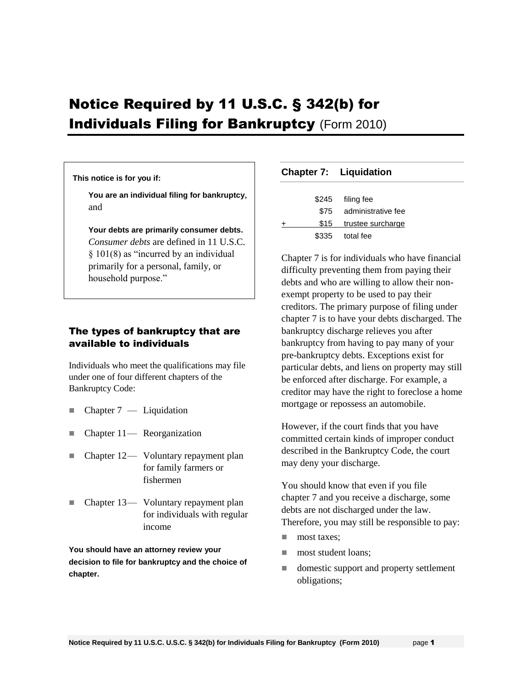# Notice Required by 11 U.S.C. § 342(b) for **Individuals Filing for Bankruptcy (Form 2010)**

#### **This notice is for you if:**

**You are an individual filing for bankruptcy**, and

**Your debts are primarily consumer debts.** *Consumer debts* are defined in 11 U.S.C. § 101(8) as "incurred by an individual primarily for a personal, family, or household purpose."

## The types of bankruptcy that are available to individuals

Individuals who meet the qualifications may file under one of four different chapters of the Bankruptcy Code:

- $\blacksquare$  Chapter 7 Liquidation
- Chapter 11— Reorganization
- Chapter 12 Voluntary repayment plan for family farmers or fishermen
- Chapter 13— Voluntary repayment plan for individuals with regular income

**You should have an attorney review your decision to file for bankruptcy and the choice of chapter.** 

#### **Chapter 7: Liquidation**

|   | \$245 | filing fee             |
|---|-------|------------------------|
|   | \$75  | administrative fee     |
| + |       | \$15 trustee surcharge |
|   | \$335 | total fee              |
|   |       |                        |

Chapter 7 is for individuals who have financial difficulty preventing them from paying their debts and who are willing to allow their nonexempt property to be used to pay their creditors. The primary purpose of filing under chapter 7 is to have your debts discharged. The bankruptcy discharge relieves you after bankruptcy from having to pay many of your pre-bankruptcy debts. Exceptions exist for particular debts, and liens on property may still be enforced after discharge. For example, a creditor may have the right to foreclose a home mortgage or repossess an automobile.

However, if the court finds that you have committed certain kinds of improper conduct described in the Bankruptcy Code, the court may deny your discharge.

You should know that even if you file chapter 7 and you receive a discharge, some debts are not discharged under the law. Therefore, you may still be responsible to pay:

- **most taxes:**
- **most student loans:**
- domestic support and property settlement obligations;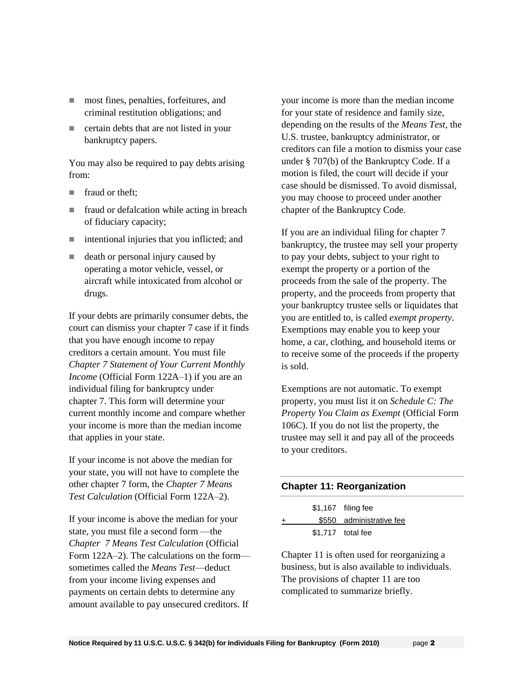- most fines, penalties, forfeitures, and criminal restitution obligations; and
- **EXECUTE:** certain debts that are not listed in your bankruptcy papers.

You may also be required to pay debts arising from:

- **fraud or theft:**
- **fraud or defalcation while acting in breach** of fiduciary capacity;
- $\blacksquare$  intentional injuries that you inflicted; and
- death or personal injury caused by operating a motor vehicle, vessel, or aircraft while intoxicated from alcohol or drugs.

If your debts are primarily consumer debts, the court can dismiss your chapter 7 case if it finds that you have enough income to repay creditors a certain amount. You must file *Chapter 7 Statement of Your Current Monthly Income* (Official Form 122A–1) if you are an individual filing for bankruptcy under chapter 7. This form will determine your current monthly income and compare whether your income is more than the median income that applies in your state.

If your income is not above the median for your state, you will not have to complete the other chapter 7 form, the *Chapter 7 Means Test Calculation* (Official Form 122A–2).

If your income is above the median for your state, you must file a second form —the *Chapter 7 Means Test Calculation* (Official Form 122A–2). The calculations on the form sometimes called the *Means Test*—deduct from your income living expenses and payments on certain debts to determine any amount available to pay unsecured creditors. If

your income is more than the median income for your state of residence and family size, depending on the results of the *Means Test*, the U.S. trustee, bankruptcy administrator, or creditors can file a motion to dismiss your case under § 707(b) of the Bankruptcy Code. If a motion is filed, the court will decide if your case should be dismissed. To avoid dismissal, you may choose to proceed under another chapter of the Bankruptcy Code.

If you are an individual filing for chapter 7 bankruptcy, the trustee may sell your property to pay your debts, subject to your right to exempt the property or a portion of the proceeds from the sale of the property. The property, and the proceeds from property that your bankruptcy trustee sells or liquidates that you are entitled to, is called *exempt property*. Exemptions may enable you to keep your home, a car, clothing, and household items or to receive some of the proceeds if the property is sold.

Exemptions are not automatic. To exempt property, you must list it on *Schedule C: The Property You Claim as Exempt* (Official Form 106C). If you do not list the property, the trustee may sell it and pay all of the proceeds to your creditors.

# **Chapter 11: Reorganization**

|       | \$1,167 filing fee       |
|-------|--------------------------|
| $\pm$ | \$550 administrative fee |
|       | $$1,717$ total fee       |

Chapter 11 is often used for reorganizing a business, but is also available to individuals. The provisions of chapter 11 are too complicated to summarize briefly.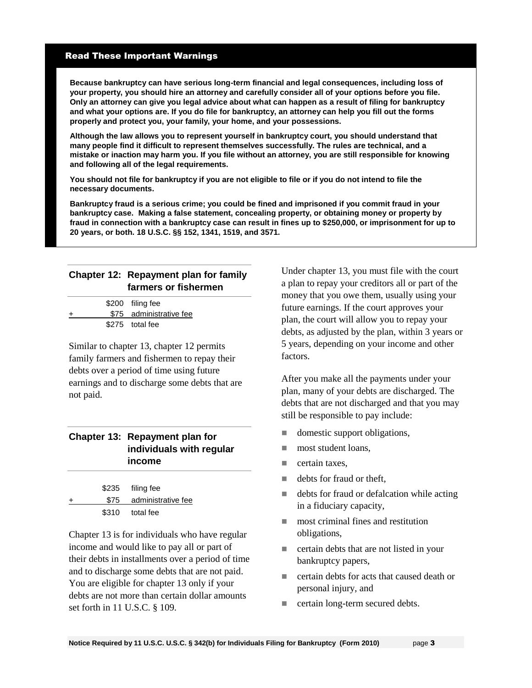#### Read These Important Warnings

**Because bankruptcy can have serious long-term financial and legal consequences, including loss of your property, you should hire an attorney and carefully consider all of your options before you file. Only an attorney can give you legal advice about what can happen as a result of filing for bankruptcy and what your options are. If you do file for bankruptcy, an attorney can help you fill out the forms properly and protect you, your family, your home, and your possessions.** 

**Although the law allows you to represent yourself in bankruptcy court, you should understand that many people find it difficult to represent themselves successfully. The rules are technical, and a mistake or inaction may harm you. If you file without an attorney, you are still responsible for knowing and following all of the legal requirements.** 

**You should not file for bankruptcy if you are not eligible to file or if you do not intend to file the necessary documents.**

**Bankruptcy fraud is a serious crime; you could be fined and imprisoned if you commit fraud in your bankruptcy case. Making a false statement, concealing property, or obtaining money or property by fraud in connection with a bankruptcy case can result in fines up to \$250,000, or imprisonment for up to 20 years, or both. 18 U.S.C. §§ 152, 1341, 1519, and 3571.**

## **Chapter 12: Repayment plan for family farmers or fishermen**

|   | \$200 filing fee        |
|---|-------------------------|
| ÷ | \$75 administrative fee |
|   | \$275 total fee         |

Similar to chapter 13, chapter 12 permits family farmers and fishermen to repay their debts over a period of time using future earnings and to discharge some debts that are not paid.

#### **Chapter 13: Repayment plan for individuals with regular income**

|       | \$235 filing fee        |
|-------|-------------------------|
| $\pm$ | \$75 administrative fee |
|       | \$310 total fee         |

Chapter 13 is for individuals who have regular income and would like to pay all or part of their debts in installments over a period of time and to discharge some debts that are not paid. You are eligible for chapter 13 only if your debts are not more than certain dollar amounts set forth in 11 U.S.C. § 109.

Under chapter 13, you must file with the court a plan to repay your creditors all or part of the money that you owe them, usually using your future earnings. If the court approves your plan, the court will allow you to repay your debts, as adjusted by the plan, within 3 years or 5 years, depending on your income and other factors.

After you make all the payments under your plan, many of your debts are discharged. The debts that are not discharged and that you may still be responsible to pay include:

- domestic support obligations,
- **most student loans,**
- $\blacksquare$  certain taxes.
- $\blacksquare$  debts for fraud or theft,
- $\blacksquare$  debts for fraud or defalcation while acting in a fiduciary capacity,
- **most criminal fines and restitution** obligations,
- **EXECUTE:** certain debts that are not listed in your bankruptcy papers,
- certain debts for acts that caused death or personal injury, and
- certain long-term secured debts.